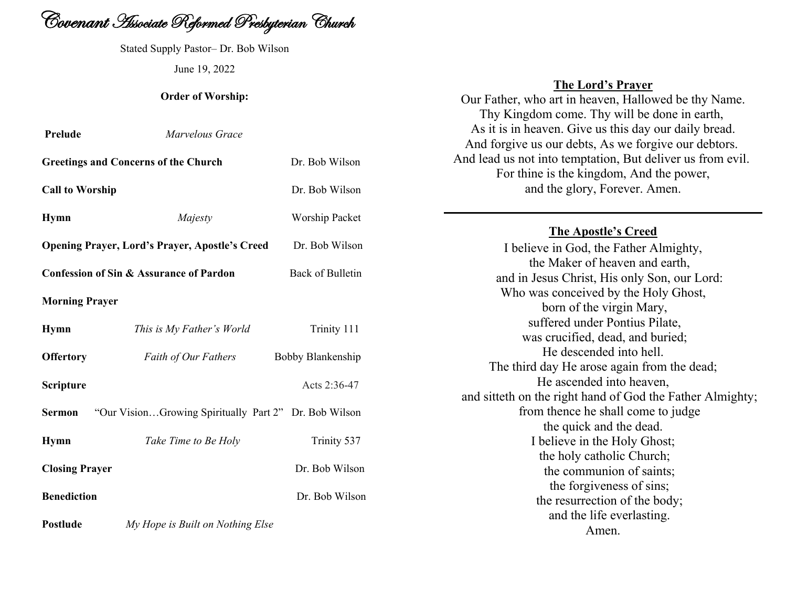

Stated Supply Pastor– Dr. Bob Wilson June 19, 2022

#### **Order of Worship:**

| Prelude                | Marvelous Grace                                       |                   |
|------------------------|-------------------------------------------------------|-------------------|
|                        | <b>Greetings and Concerns of the Church</b>           | Dr. Bob Wilson    |
| <b>Call to Worship</b> |                                                       | Dr. Bob Wilson    |
| <b>Hymn</b>            | Majesty                                               | Worship Packet    |
|                        | <b>Opening Prayer, Lord's Prayer, Apostle's Creed</b> | Dr. Bob Wilson    |
|                        | Confession of Sin & Assurance of Pardon               | Back of Bulletin  |
| <b>Morning Prayer</b>  |                                                       |                   |
| <b>Hymn</b>            | This is My Father's World                             | Trinity 111       |
| <b>Offertory</b>       | Faith of Our Fathers                                  | Bobby Blankenship |
| Scripture              |                                                       | Acts 2:36-47      |
| Sermon                 | "Our VisionGrowing Spiritually Part 2" Dr. Bob Wilson |                   |
| <b>Hymn</b>            | Take Time to Be Holy                                  | Trinity 537       |
| <b>Closing Prayer</b>  |                                                       | Dr. Bob Wilson    |
| <b>Benediction</b>     |                                                       | Dr. Bob Wilson    |
| <b>Postlude</b>        | My Hope is Built on Nothing Else                      |                   |

### **The Lord's Prayer**

Our Father, who art in heaven, Hallowed be thy Name. Thy Kingdom come. Thy will be done in earth, As it is in heaven. Give us this day our daily bread. And forgive us our debts, As we forgive our debtors. And lead us not into temptation, But deliver us from evil. For thine is the kingdom, And the power, and the glory, Forever. Amen.

## **The Apostle's Creed**

I believe in God, the Father Almighty, the Maker of heaven and earth, and in Jesus Christ, His only Son, our Lord: Who was conceived by the Holy Ghost, born of the virgin Mary, suffered under Pontius Pilate, was crucified, dead, and buried; He descended into hell. The third day He arose again from the dead; He ascended into heaven, and sitteth on the right hand of God the Father Almighty; from thence he shall come to judge the quick and the dead. I believe in the Holy Ghost; the holy catholic Church; the communion of saints; the forgiveness of sins; the resurrection of the body; and the life everlasting. Amen.